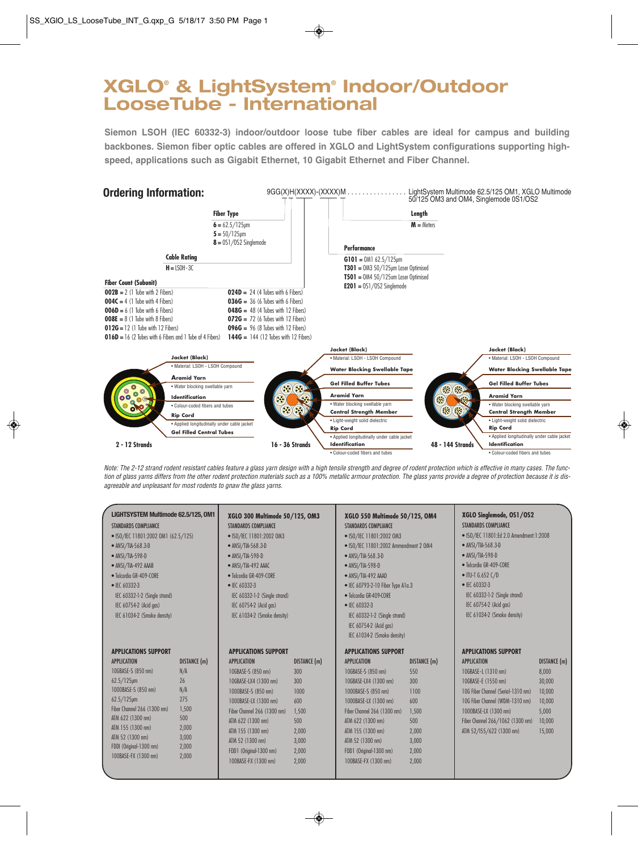## **XGLO® & LightSystem® Indoor/Outdoor LooseTube - International**

**Siemon LSOH (IEC 60332-3) indoor/outdoor loose tube fiber cables are ideal for campus and building backbones. Siemon fiber optic cables are offered in XGLO and LightSystem configurations supporting highspeed, applications such as Gigabit Ethernet, 10 Gigabit Ethernet and Fiber Channel.**



Note: The 2-12 strand rodent resistant cables feature a glass yarn design with a high tensile strength and degree of rodent protection which is effective in many cases. The function of glass yarns differs from the other rodent protection materials such as a 100% metallic armour protection. The glass yarns provide a degree of protection because it is disagreeable and unpleasant for most rodents to gnaw the glass yarns.

| LIGHTSYSTEM Multimode 62.5/125, OM1<br><b>STANDARDS COMPLIANCE</b><br>• ISO/IEC 11801:2002 OM1 (62.5/125)<br>• ANSI/TIA-568.3-D<br>• ANSI/TIA-598-D<br>• ANSI/TIA-492 AAAB<br>· Telcordia GR-409-CORE<br>• IEC 60332-3<br>IEC 60332-1-2 (Single strand)<br>IEC 60754-2 (Acid gas)<br>IEC 61034-2 (Smoke density) |                                                                                             | XGLO 300 Multimode 50/125, OM3<br><b>STANDARDS COMPLIANCE</b><br>• ISO/IEC 11801:2002 OM3<br>• ANSI/TIA-568.3-D<br>$\bullet$ ANSI/TIA-598-D<br>• ANSI/TIA-492 AAAC<br>· Telcordia GR-409-CORE<br>$\bullet$ IEC 60332-3<br>IEC 60332-1-2 (Single strand)<br>IEC 60754-2 (Acid gas)<br>IEC 61034-2 (Smoke density) |                                                                                               | XGLO 550 Multimode 50/125, OM4<br><b>STANDARDS COMPLIANCE</b><br>• ISO/IEC 11801:2002 OM3<br>• ISO/IEC 11801:2002 Ammendment 2 OM4<br>• ANSI/TIA-568.3-D<br>• ANSI/TIA-598-D<br>· ANSI/TIA-492 AAAD<br>• IEC 60793-2-10 Fiber Type A1a.3<br>· Telcordia GR-409-CORE<br>• IEC 60332-3<br>IEC 60332-1-2 (Single strand)<br>IEC 60754-2 (Acid gas)<br>IEC 61034-2 (Smoke density) |                                                                                                      | XGLO Singlemode, OS1/OS2<br><b>STANDARDS COMPLIANCE</b><br>• ISO/IEC 11801:Ed 2.0 Amendment:1:2008<br>• ANSI/TIA-568.3-D<br>• ANSI/TIA-598-D<br>· Telcordia GR-409-CORE<br>$\bullet$ ITU-T G.652 C/D<br>$\bullet$ IEC 60332-3<br>IEC 60332-1-2 (Single strand)<br>IEC 60754-2 (Acid gas)<br>IEC 61034-2 (Smoke density) |                                                                                         |
|------------------------------------------------------------------------------------------------------------------------------------------------------------------------------------------------------------------------------------------------------------------------------------------------------------------|---------------------------------------------------------------------------------------------|------------------------------------------------------------------------------------------------------------------------------------------------------------------------------------------------------------------------------------------------------------------------------------------------------------------|-----------------------------------------------------------------------------------------------|--------------------------------------------------------------------------------------------------------------------------------------------------------------------------------------------------------------------------------------------------------------------------------------------------------------------------------------------------------------------------------|------------------------------------------------------------------------------------------------------|-------------------------------------------------------------------------------------------------------------------------------------------------------------------------------------------------------------------------------------------------------------------------------------------------------------------------|-----------------------------------------------------------------------------------------|
| <b>APPLICATIONS SUPPORT</b><br><b>APPLICATION</b><br>10GBASE-S (850 nm)<br>$62.5/125$ µm<br>1000BASE-S (850 nm)<br>$62.5/125$ µm<br>Fiber Channel 266 (1300 nm)<br>ATM 622 (1300 nm)<br>ATM 155 (1300 nm)<br>ATM 52 (1300 nm)<br>FDDI (Original-1300 nm)<br>100BASE-FX (1300 nm)                                 | DISTANCE (m)<br>N/A<br>26<br>N/A<br>275<br>1,500<br>500<br>2,000<br>3,000<br>2,000<br>2,000 | <b>APPLICATIONS SUPPORT</b><br><b>APPLICATION</b><br>10GBASE-S (850 nm)<br>10GBASE-LX4 (1300 nm)<br>1000BASE-S (850 nm)<br>1000BASE-LX (1300 nm)<br>Fiber Channel 266 (1300 nm)<br>ATM 622 (1300 nm)<br>ATM 155 (1300 nm)<br>ATM 52 (1300 nm)<br>FDD1 (Original-1300 nm)<br>100BASE-FX (1300 nm)                 | DISTANCE (m)<br>300<br>300<br>1000<br>600<br>1,500<br>500<br>2,000<br>3,000<br>2,000<br>2,000 | <b>APPLICATIONS SUPPORT</b><br><b>APPLICATION</b><br>10GBASE-S (850 nm)<br>10GBASE-LX4 (1300 nm)<br>1000BASE-S (850 nm)<br>1000BASE-LX (1300 nm)<br>Fiber Channel 266 (1300 nm)<br>ATM 622 (1300 nm)<br>ATM 155 (1300 nm)<br>ATM 52 (1300 nm)<br>FDD1 (Original-1300 nm)<br>100BASE-FX (1300 nm)                                                                               | <b>DISTANCE</b> (m)<br>550<br>300<br>1100<br>600<br>1,500<br>500<br>2,000<br>3,000<br>2,000<br>2,000 | <b>APPLICATIONS SUPPORT</b><br><b>APPLICATION</b><br>10GBASE-L (1310 nm)<br>10GBASE-E (1550 nm)<br>10G Fiber Channel (Serial-1310 nm)<br>10G Fiber Channel (WDM-1310 nm)<br>1000BASE-LX (1300 nm)<br>Fiber Channel 266/1062 (1300 nm)<br>ATM 52/155/622 (1300 nm)                                                       | <b>DISTANCE</b> (m)<br>8,000<br>30,000<br>10,000<br>10,000<br>5,000<br>10,000<br>15,000 |